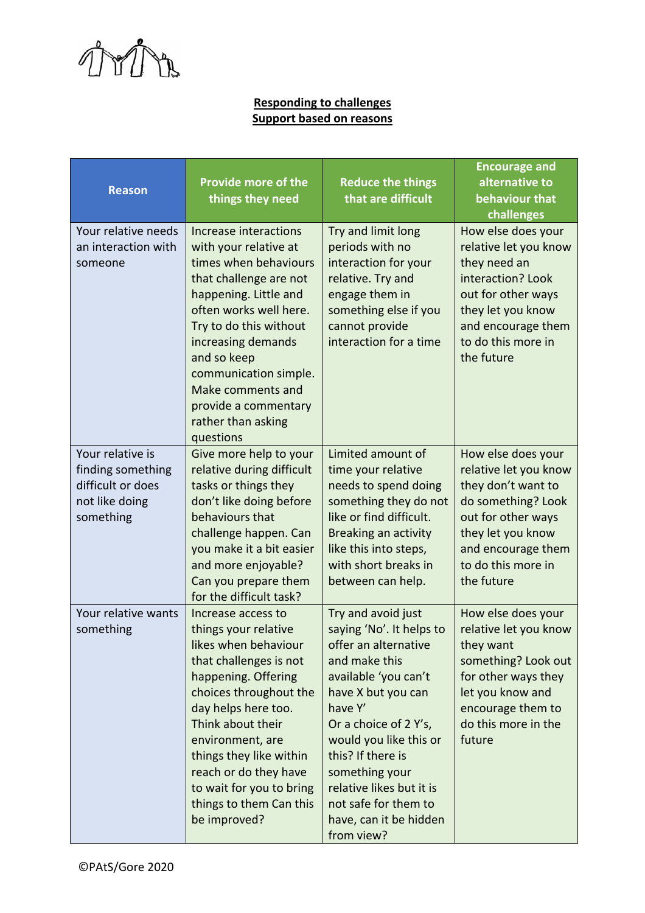

## **Responding to challenges Support based on reasons**

| <b>Reason</b>                                                                             | <b>Provide more of the</b><br>things they need                                                                                                                                                                                                                                                                                           | <b>Reduce the things</b><br>that are difficult                                                                                                                                                                                                                                                                                         | <b>Encourage and</b><br>alternative to<br>behaviour that<br>challenges                                                                                                                       |
|-------------------------------------------------------------------------------------------|------------------------------------------------------------------------------------------------------------------------------------------------------------------------------------------------------------------------------------------------------------------------------------------------------------------------------------------|----------------------------------------------------------------------------------------------------------------------------------------------------------------------------------------------------------------------------------------------------------------------------------------------------------------------------------------|----------------------------------------------------------------------------------------------------------------------------------------------------------------------------------------------|
| Your relative needs<br>an interaction with<br>someone                                     | Increase interactions<br>with your relative at<br>times when behaviours<br>that challenge are not<br>happening. Little and<br>often works well here.<br>Try to do this without<br>increasing demands<br>and so keep<br>communication simple.<br>Make comments and<br>provide a commentary<br>rather than asking<br>questions             | Try and limit long<br>periods with no<br>interaction for your<br>relative. Try and<br>engage them in<br>something else if you<br>cannot provide<br>interaction for a time                                                                                                                                                              | How else does your<br>relative let you know<br>they need an<br>interaction? Look<br>out for other ways<br>they let you know<br>and encourage them<br>to do this more in<br>the future        |
| Your relative is<br>finding something<br>difficult or does<br>not like doing<br>something | Give more help to your<br>relative during difficult<br>tasks or things they<br>don't like doing before<br>behaviours that<br>challenge happen. Can<br>you make it a bit easier<br>and more enjoyable?<br>Can you prepare them<br>for the difficult task?                                                                                 | Limited amount of<br>time your relative<br>needs to spend doing<br>something they do not<br>like or find difficult.<br>Breaking an activity<br>like this into steps,<br>with short breaks in<br>between can help.                                                                                                                      | How else does your<br>relative let you know<br>they don't want to<br>do something? Look<br>out for other ways<br>they let you know<br>and encourage them<br>to do this more in<br>the future |
| Your relative wants<br>something                                                          | Increase access to<br>things your relative<br>likes when behaviour<br>that challenges is not<br>happening. Offering<br>choices throughout the<br>day helps here too.<br>Think about their<br>environment, are<br>things they like within<br>reach or do they have<br>to wait for you to bring<br>things to them Can this<br>be improved? | Try and avoid just<br>saying 'No'. It helps to<br>offer an alternative<br>and make this<br>available 'you can't<br>have X but you can<br>have Y'<br>Or a choice of 2 Y's,<br>would you like this or<br>this? If there is<br>something your<br>relative likes but it is<br>not safe for them to<br>have, can it be hidden<br>from view? | How else does your<br>relative let you know<br>they want<br>something? Look out<br>for other ways they<br>let you know and<br>encourage them to<br>do this more in the<br>future             |